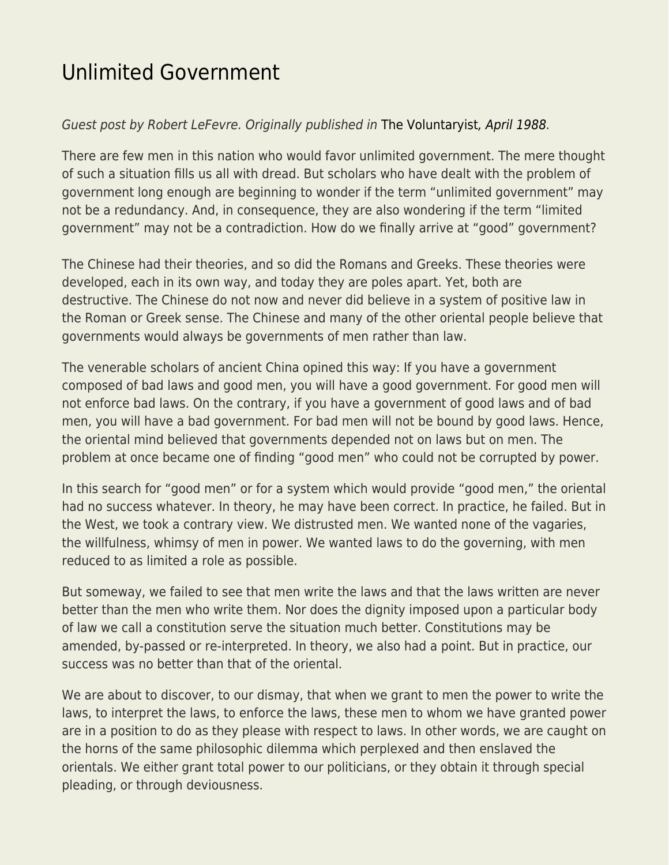## [Unlimited Government](https://everything-voluntary.com/unlimited-government)

## Guest post by Robert LeFevre. Originally published in [The Voluntaryist](http://voluntaryist.com/backissues/031.pdf)[, April 1988](http://voluntaryist.com/backissues/031.pdf).

There are few men in this nation who would favor unlimited government. The mere thought of such a situation fills us all with dread. But scholars who have dealt with the problem of government long enough are beginning to wonder if the term "unlimited government" may not be a redundancy. And, in consequence, they are also wondering if the term "limited government" may not be a contradiction. How do we finally arrive at "good" government?

The Chinese had their theories, and so did the Romans and Greeks. These theories were developed, each in its own way, and today they are poles apart. Yet, both are destructive. The Chinese do not now and never did believe in a system of positive law in the Roman or Greek sense. The Chinese and many of the other oriental people believe that governments would always be governments of men rather than law.

The venerable scholars of ancient China opined this way: If you have a government composed of bad laws and good men, you will have a good government. For good men will not enforce bad laws. On the contrary, if you have a government of good laws and of bad men, you will have a bad government. For bad men will not be bound by good laws. Hence, the oriental mind believed that governments depended not on laws but on men. The problem at once became one of finding "good men" who could not be corrupted by power.

In this search for "good men" or for a system which would provide "good men," the oriental had no success whatever. In theory, he may have been correct. In practice, he failed. But in the West, we took a contrary view. We distrusted men. We wanted none of the vagaries, the willfulness, whimsy of men in power. We wanted laws to do the governing, with men reduced to as limited a role as possible.

But someway, we failed to see that men write the laws and that the laws written are never better than the men who write them. Nor does the dignity imposed upon a particular body of law we call a constitution serve the situation much better. Constitutions may be amended, by-passed or re-interpreted. In theory, we also had a point. But in practice, our success was no better than that of the oriental.

We are about to discover, to our dismay, that when we grant to men the power to write the laws, to interpret the laws, to enforce the laws, these men to whom we have granted power are in a position to do as they please with respect to laws. In other words, we are caught on the horns of the same philosophic dilemma which perplexed and then enslaved the orientals. We either grant total power to our politicians, or they obtain it through special pleading, or through deviousness.